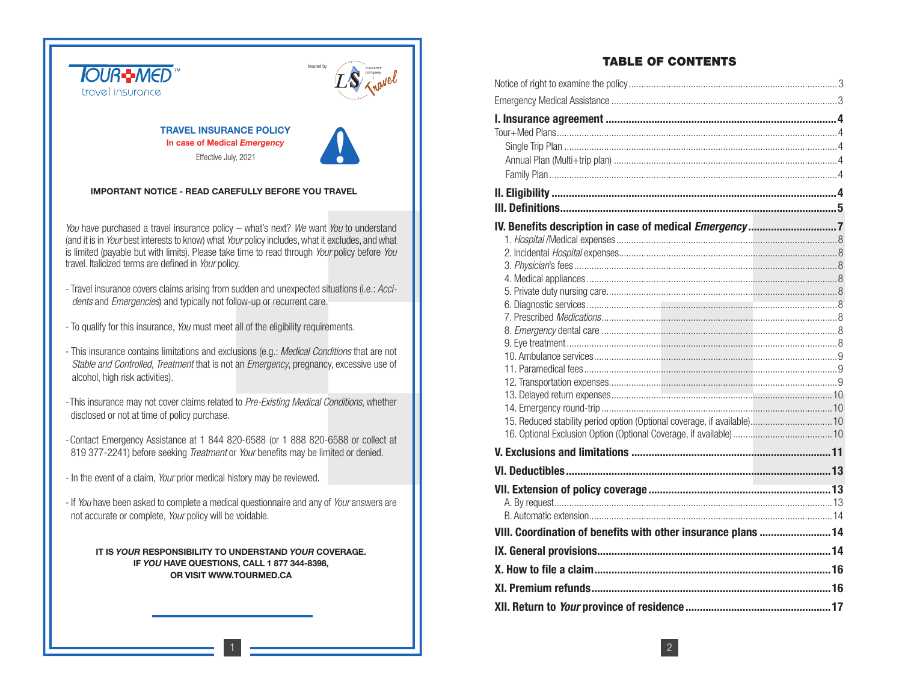

# **TABLE OF CONTENTS**

| 15. Reduced stability period option (Optional coverage, if available) 10<br>VIII. Coordination of benefits with other insurance plans  14 |  |
|-------------------------------------------------------------------------------------------------------------------------------------------|--|
|                                                                                                                                           |  |
|                                                                                                                                           |  |
|                                                                                                                                           |  |
|                                                                                                                                           |  |
|                                                                                                                                           |  |
|                                                                                                                                           |  |
|                                                                                                                                           |  |
|                                                                                                                                           |  |
|                                                                                                                                           |  |
|                                                                                                                                           |  |
|                                                                                                                                           |  |
|                                                                                                                                           |  |
|                                                                                                                                           |  |
|                                                                                                                                           |  |
|                                                                                                                                           |  |
|                                                                                                                                           |  |
|                                                                                                                                           |  |
|                                                                                                                                           |  |
|                                                                                                                                           |  |
|                                                                                                                                           |  |
|                                                                                                                                           |  |
|                                                                                                                                           |  |
|                                                                                                                                           |  |
|                                                                                                                                           |  |
|                                                                                                                                           |  |
|                                                                                                                                           |  |
|                                                                                                                                           |  |
|                                                                                                                                           |  |
|                                                                                                                                           |  |
|                                                                                                                                           |  |
|                                                                                                                                           |  |
|                                                                                                                                           |  |
|                                                                                                                                           |  |
|                                                                                                                                           |  |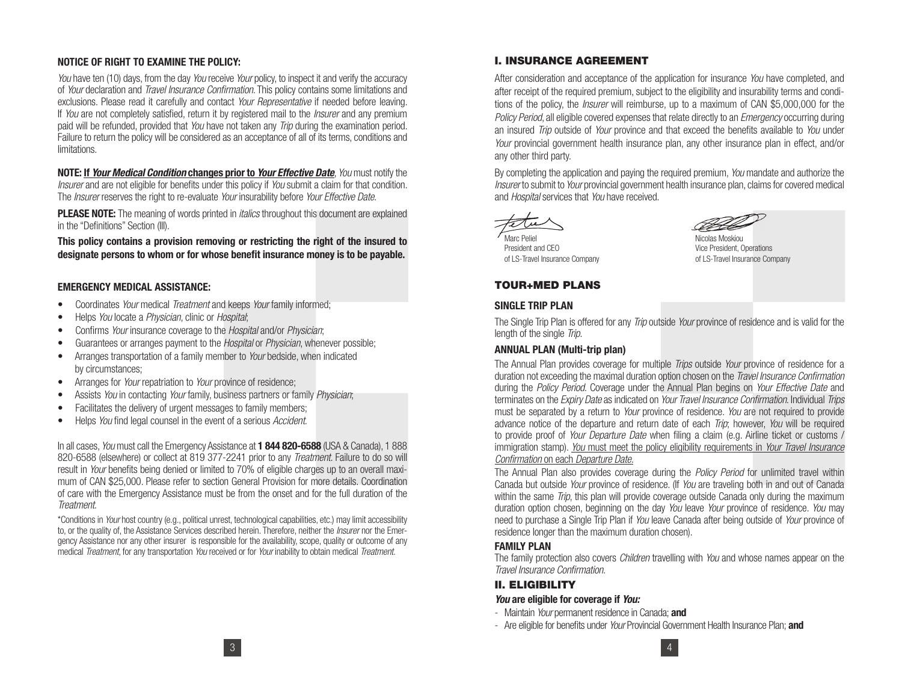## **NOTICE OF RIGHT TO EXAMINE THE POLICY:**

You have ten (10) days, from the day You receive Your policy, to inspect it and verify the accuracy of Your declaration and Travel Insurance Confirmation. This policy contains some limitations and exclusions. Please read it carefully and contact Your Representative if needed before leaving. If You are not completely satisfied, return it by registered mail to the *Insurer* and any premium paid will be refunded, provided that You have not taken any *Trip* during the examination period. Failure to return the policy will be considered as an acceptance of all of its terms, conditions and limitations.

**NOTE: If** *Your Medical Condition* **changes prior to** *Your Effective Date*, You must notify the Insurer and are not eligible for benefits under this policy if You submit a claim for that condition. The *Insurer* reserves the right to re-evaluate *Your* insurability before *Your Effective Date.* 

**PLEASE NOTE:** The meaning of words printed in *italics* throughout this document are explained in the "Definitions" Section (III).

**This policy contains a provision removing or restricting the right of the insured to designate persons to whom or for whose benefit insurance money is to be payable.**

#### **EMERGENCY MEDICAL ASSISTANCE:**

- Coordinates Your medical Treatment and keeps Your family informed;
- Helps You locate a Physician, clinic or Hospital;
- Confirms Your insurance coverage to the Hospital and/or Physician;
- Guarantees or arranges payment to the Hospital or Physician, whenever possible;
- Arranges transportation of a family member to Your bedside, when indicated by circumstances;
- Arranges for *Your* repatriation to *Your* province of residence;
- Assists You in contacting Your family, business partners or family Physician;
- Facilitates the delivery of urgent messages to family members;
- Helps You find legal counsel in the event of a serious Accident.

In all cases, You must call the Emergency Assistance at **1 844 820-6588** (USA & Canada), 1 888 820-6588 (elsewhere) or collect at 819 377-2241 prior to any *Treatment*. Failure to do so will result in *Your* benefits being denied or limited to 70% of eligible charges up to an overall maximum of CAN \$25,000. Please refer to section General Provision for more details. Coordination of care with the Emergency Assistance must be from the onset and for the full duration of the Treatment.

\*Conditions in Your host country (e.g., political unrest, technological capabilities, etc.) may limit accessibility to, or the quality of, the Assistance Services described herein. Therefore, neither the *Insurer* nor the Emergency Assistance nor any other insurer is responsible for the availability, scope, quality or outcome of any medical Treatment, for any transportation You received or for Your inability to obtain medical Treatment.

## **I. INSURANCE AGREEMENT**

After consideration and acceptance of the application for insurance You have completed, and after receipt of the required premium, subject to the eligibility and insurability terms and conditions of the policy, the Insurer will reimburse, up to a maximum of CAN \$5,000,000 for the Policy Period, all eligible covered expenses that relate directly to an *Emergency* occurring during an insured *Trip* outside of *Your* province and that exceed the benefits available to *You* under Your provincial government health insurance plan, any other insurance plan in effect, and/or any other third party.

By completing the application and paying the required premium, You mandate and authorize the Insurer to submit to Your provincial government health insurance plan, claims for covered medical and Hospital services that You have received.





President and CEO Vice President, Operations

Micolae Moekiou of LS-Travel Insurance Company of LS-Travel Insurance Company

# **TOUR+MED PLANS**

#### **SINGLE TRIP PLAN**

The Single Trip Plan is offered for any *Trip* outside *Your* province of residence and is valid for the length of the single Trip.

#### **ANNUAL PLAN (Multi-trip plan)**

The Annual Plan provides coverage for multiple *Trips* outside *Your* province of residence for a duration not exceeding the maximal duration option chosen on the *Travel Insurance Confirmation* during the Policy Period. Coverage under the Annual Plan begins on Your Effective Date and terminates on the *Expiry Date* as indicated on *Your Travel Insurance Confirmation*. Individual *Trips* must be separated by a return to *Your* province of residence. You are not required to provide advance notice of the departure and return date of each *Trip*; however, You will be required to provide proof of Your Departure Date when filing a claim (e.g. Airline ticket or customs / immigration stamp). You must meet the policy eligibility requirements in Your Travel Insurance Confirmation on each Departure Date.

The Annual Plan also provides coverage during the *Policy Period* for unlimited travel within Canada but outside Your province of residence. (If You are traveling both in and out of Canada within the same *Trip*, this plan will provide coverage outside Canada only during the maximum duration option chosen, beginning on the day You leave Your province of residence. You may need to purchase a Single Trip Plan if You leave Canada after being outside of Your province of residence longer than the maximum duration chosen).

#### **FAMILY PLAN**

The family protection also covers *Children* travelling with *You* and whose names appear on the Travel Insurance Confirmation.

## **II. ELIGIBILITY**

#### *You* **are eligible for coverage if** *You:*

- Maintain Your permanent residence in Canada; **and**
- Are eligible for benefits under Your Provincial Government Health Insurance Plan; **and**

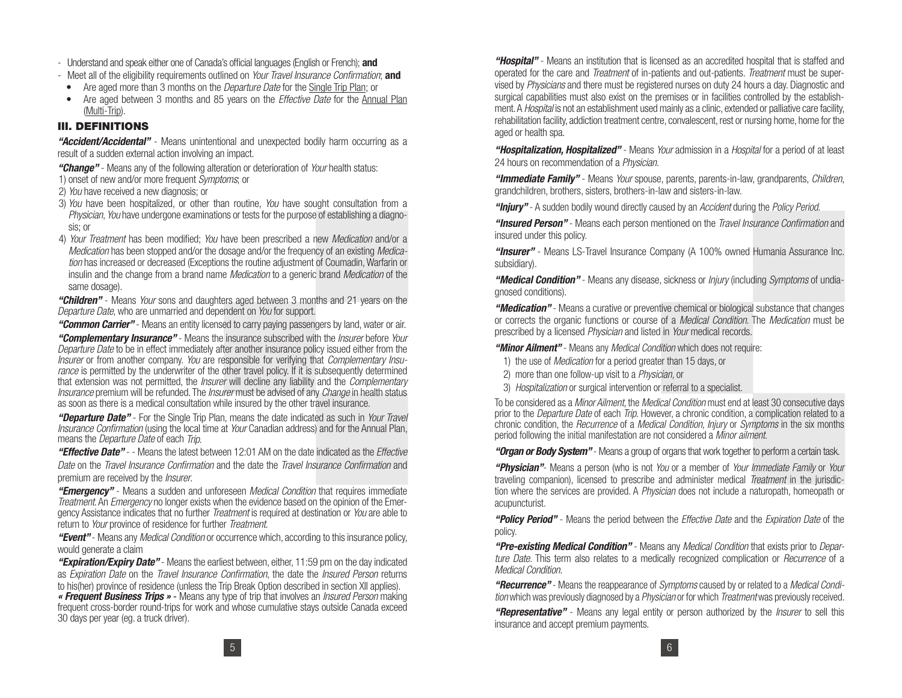- Understand and speak either one of Canada's official languages (English or French); **and**
- Meet all of the eligibility requirements outlined on Your Travel Insurance Confirmation; **and**
- Are aged more than 3 months on the *Departure Date* for the Single Trip Plan; or
- Are aged between 3 months and 85 years on the *Effective Date* for the Annual Plan (Multi-Trip).

## **III. DEFINITIONS**

*"Accident/Accidental"* - Means unintentional and unexpected bodily harm occurring as a result of a sudden external action involving an impact.

*"Change"* - Means any of the following alteration or deterioration of Your health status:

- 1) onset of new and/or more frequent Symptoms; or
- 2) You have received a new diagnosis; or
- 3) You have been hospitalized, or other than routine, You have sought consultation from a Physician, You have undergone examinations or tests for the purpose of establishing a diagnosis; or
- 4) Your Treatment has been modified; You have been prescribed a new Medication and/or a Medication has been stopped and/or the dosage and/or the frequency of an existing Medication has increased or decreased (Exceptions the routine adjustment of Coumadin, Warfarin or insulin and the change from a brand name Medication to a generic brand Medication of the same dosage).

*"Children"* - Means Your sons and daughters aged between 3 months and 21 years on the Departure Date, who are unmarried and dependent on You for support.

*"Common Carrier"* - Means an entity licensed to carry paying passengers by land, water or air.

*"Complementary Insurance"* - Means the insurance subscribed with the Insurer before Your Departure Date to be in effect immediately after another insurance policy issued either from the Insurer or from another company. You are responsible for verifying that *Complementary Insu*rance is permitted by the underwriter of the other travel policy. If it is subsequently determined that extension was not permitted, the *Insurer* will decline any liability and the *Complementary* Insurance premium will be refunded. The Insurer must be advised of any Change in health status as soon as there is a medical consultation while insured by the other travel insurance.

*"Departure Date"* - For the Single Trip Plan, means the date indicated as such in Your Travel Insurance Confirmation (using the local time at Your Canadian address) and for the Annual Plan, means the *Departure Date* of each Trip.

*"Effective Date"* - - Means the latest between 12:01 AM on the date indicated as the Effective Date on the Travel Insurance Confirmation and the date the Travel Insurance Confirmation and premium are received by the *Insurer*.

*"Emergency"* - Means a sudden and unforeseen Medical Condition that requires immediate Treatment. An Emergency no longer exists when the evidence based on the opinion of the Emergency Assistance indicates that no further *Treatment* is required at destination or You are able to return to Your province of residence for further Treatment.

*"Event"* - Means any Medical Condition or occurrence which, according to this insurance policy, would generate a claim

*"Expiration/Expiry Date"* - Means the earliest between, either, 11:59 pm on the day indicated as Expiration Date on the Travel Insurance Confirmation, the date the Insured Person returns to his(her) province of residence (unless the Trip Break Option described in section XII applies).

*« Frequent Business Trips »* - Means any type of trip that involves an Insured Person making frequent cross-border round-trips for work and whose cumulative stays outside Canada exceed 30 days per year (eg. a truck driver).

*"Hospital"* - Means an institution that is licensed as an accredited hospital that is staffed and operated for the care and *Treatment* of in-patients and out-patients. *Treatment* must be supervised by Physicians and there must be registered nurses on duty 24 hours a day. Diagnostic and surgical capabilities must also exist on the premises or in facilities controlled by the establishment. A *Hospital* is not an establishment used mainly as a clinic, extended or palliative care facility, rehabilitation facility, addiction treatment centre, convalescent, rest or nursing home, home for the aged or health spa.

*"Hospitalization, Hospitalized"* - Means Your admission in a Hospital for a period of at least 24 hours on recommendation of a Physician.

*"Immediate Family"* - Means Your spouse, parents, parents-in-law, grandparents, Children, grandchildren, brothers, sisters, brothers-in-law and sisters-in-law.

*"Injury"* - A sudden bodily wound directly caused by an Accident during the Policy Period.

*"Insured Person"* - Means each person mentioned on the Travel Insurance Confirmation and insured under this policy.

*"Insurer"* - Means LS-Travel Insurance Company (A 100% owned Humania Assurance Inc. subsidiary).

*"Medical Condition"* - Means any disease, sickness or Injury (including Symptoms of undiagnosed conditions).

*"Medication"* - Means a curative or preventive chemical or biological substance that changes or corrects the organic functions or course of a Medical Condition. The Medication must be prescribed by a licensed Physician and listed in Your medical records.

*"Minor Ailment"* - Means any Medical Condition which does not require:

- 1) the use of Medication for a period greater than 15 days, or
- 2) more than one follow-up visit to a Physician, or
- 3) Hospitalization or surgical intervention or referral to a specialist.

To be considered as a Minor Ailment, the Medical Condition must end at least 30 consecutive days prior to the *Departure Date* of each *Trip*. However, a chronic condition, a complication related to a chronic condition, the Recurrence of a *Medical Condition, Injury* or *Symptoms* in the six months period following the initial manifestation are not considered a Minor ailment.

*"Organ or Body System"* - Means a group of organs that work together to perform a certain task.

*"Physician"*- Means a person (who is not You or a member of Your Immediate Family or Your traveling companion), licensed to prescribe and administer medical *Treatment* in the jurisdiction where the services are provided. A Physician does not include a naturopath, homeopath or acupuncturist.

*"Policy Period"* - Means the period between the Effective Date and the Expiration Date of the policy.

*"Pre-existing Medical Condition"* - Means any Medical Condition that exists prior to Departure Date. This term also relates to a medically recognized complication or *Recurrence* of a Medical Condition.

*"Recurrence"* - Means the reappearance of Symptoms caused by or related to a Medical Condition which was previously diagnosed by a *Physician* or for which Treatment was previously received.

*"Representative"* - Means any legal entity or person authorized by the Insurer to sell this insurance and accept premium payments.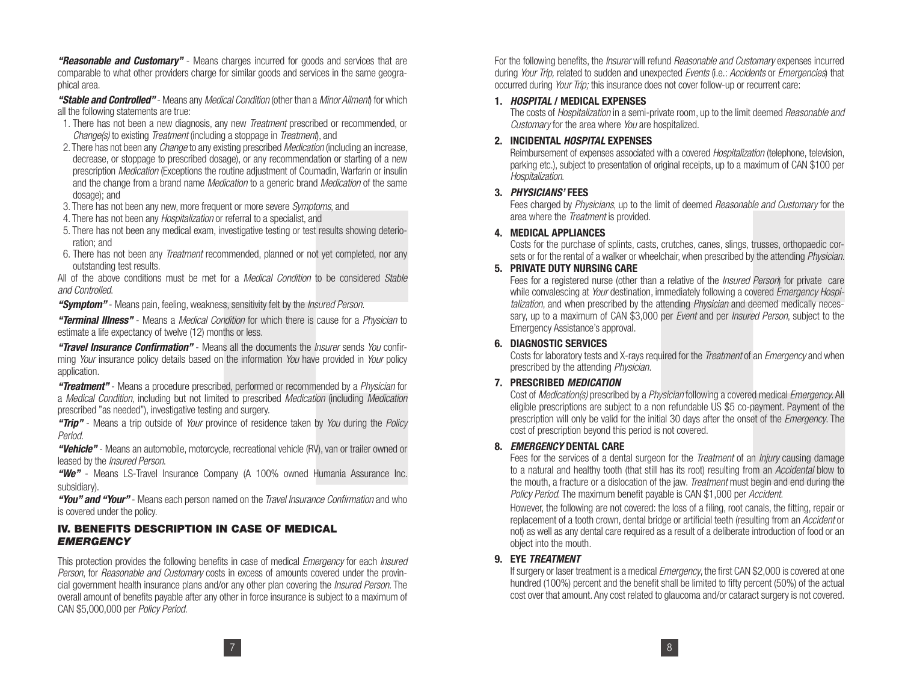*"Reasonable and Customary"* - Means charges incurred for goods and services that are comparable to what other providers charge for similar goods and services in the same geographical area.

*"Stable and Controlled"* - Means any Medical Condition (other than a Minor Ailment) for which all the following statements are true:

- 1. There has not been a new diagnosis, any new *Treatment* prescribed or recommended, or Change(s) to existing *Treatment* (including a stoppage in *Treatment*), and
- 2. There has not been any *Change* to any existing prescribed *Medication* (including an increase, decrease, or stoppage to prescribed dosage), or any recommendation or starting of a new prescription Medication (Exceptions the routine adjustment of Coumadin, Warfarin or insulin and the change from a brand name *Medication* to a generic brand *Medication* of the same dosage); and
- 3. There has not been any new, more frequent or more severe Symptoms, and
- 4. There has not been any Hospitalization or referral to a specialist, and
- 5. There has not been any medical exam, investigative testing or test results showing deterioration; and
- 6. There has not been any *Treatment* recommended, planned or not yet completed, nor any outstanding test results.

All of the above conditions must be met for a *Medical Condition* to be considered *Stable* and Controlled.

"**Symptom**" - Means pain, feeling, weakness, sensitivity felt by the *Insured Person.* 

*"Terminal Illness"* - Means a Medical Condition for which there is cause for a Physician to estimate a life expectancy of twelve (12) months or less.

*"Travel Insurance Confirmation"* - Means all the documents the Insurer sends You confirming Your insurance policy details based on the information You have provided in Your policy application.

*"Treatment"* - Means a procedure prescribed, performed or recommended by a Physician for a Medical Condition, including but not limited to prescribed Medication (including Medication prescribed "as needed"), investigative testing and surgery.

*"Trip"* - Means a trip outside of Your province of residence taken by You during the Policy Period.

*"Vehicle"* - Means an automobile, motorcycle, recreational vehicle (RV), van or trailer owned or leased by the Insured Person.

*"We"* - Means LS-Travel Insurance Company (A 100% owned Humania Assurance Inc. subsidiary).

"You" and "Your" - Means each person named on the *Travel Insurance Confirmation* and who is covered under the policy.

## **IV. BENEFITS DESCRIPTION IN CASE OF MEDICAL** *EMERGENCY*

This protection provides the following benefits in case of medical *Emergency* for each *Insured* Person, for Reasonable and Customary costs in excess of amounts covered under the provincial government health insurance plans and/or any other plan covering the *Insured Person*. The overall amount of benefits payable after any other in force insurance is subject to a maximum of CAN \$5,000,000 per Policy Period.

For the following benefits, the *Insurer* will refund *Reasonable and Customary* expenses incurred during Your Trip, related to sudden and unexpected Events (i.e.: Accidents or Emergencies) that occurred during Your Trip; this insurance does not cover follow-up or recurrent care:

#### **1.** *HOSPITAL* **/ MEDICAL EXPENSES**

 The costs of Hospitalization in a semi-private room, up to the limit deemed Reasonable and Customary for the area where You are hospitalized.

#### **2. INCIDENTAL** *HOSPITAL* **EXPENSES**

Reimbursement of expenses associated with a covered *Hospitalization* (telephone, television, parking etc.), subject to presentation of original receipts, up to a maximum of CAN \$100 per Hospitalization.

#### **3.** *PHYSICIANS'* **FEES**

 Fees charged by Physicians, up to the limit of deemed Reasonable and Customary for the area where the *Treatment* is provided.

#### **4. MEDICAL APPLIANCES**

 Costs for the purchase of splints, casts, crutches, canes, slings, trusses, orthopaedic corsets or for the rental of a walker or wheelchair, when prescribed by the attending *Physician*.

#### **5. PRIVATE DUTY NURSING CARE**

Fees for a registered nurse (other than a relative of the *Insured Person*) for private care while convalescing at Your destination, immediately following a covered *Emergency Hospi*talization, and when prescribed by the attending *Physician* and deemed medically necessary, up to a maximum of CAN \$3,000 per *Event* and per *Insured Person*, subject to the Emergency Assistance's approval.

#### **6. DIAGNOSTIC SERVICES**

Costs for laboratory tests and X-rays required for the *Treatment* of an *Emergency* and when prescribed by the attending Physician.

#### **7. PRESCRIBED** *MEDICATION*

Cost of Medication(s) prescribed by a Physician following a covered medical Emergency. All eligible prescriptions are subject to a non refundable US \$5 co-payment. Payment of the prescription will only be valid for the initial 30 days after the onset of the Emergency. The cost of prescription beyond this period is not covered.

## **8.** *EMERGENCY* **DENTAL CARE**

Fees for the services of a dental surgeon for the *Treatment* of an *Injury* causing damage to a natural and healthy tooth (that still has its root) resulting from an Accidental blow to the mouth, a fracture or a dislocation of the jaw. *Treatment* must begin and end during the Policy Period. The maximum benefit payable is CAN \$1,000 per Accident.

 However, the following are not covered: the loss of a filing, root canals, the fitting, repair or replacement of a tooth crown, dental bridge or artificial teeth (resulting from an Accident or not) as well as any dental care required as a result of a deliberate introduction of food or an object into the mouth.

## **9. EYE** *TREATMENT*

If surgery or laser treatment is a medical *Emergency*, the first CAN \$2,000 is covered at one hundred (100%) percent and the benefit shall be limited to fifty percent (50%) of the actual cost over that amount. Any cost related to glaucoma and/or cataract surgery is not covered.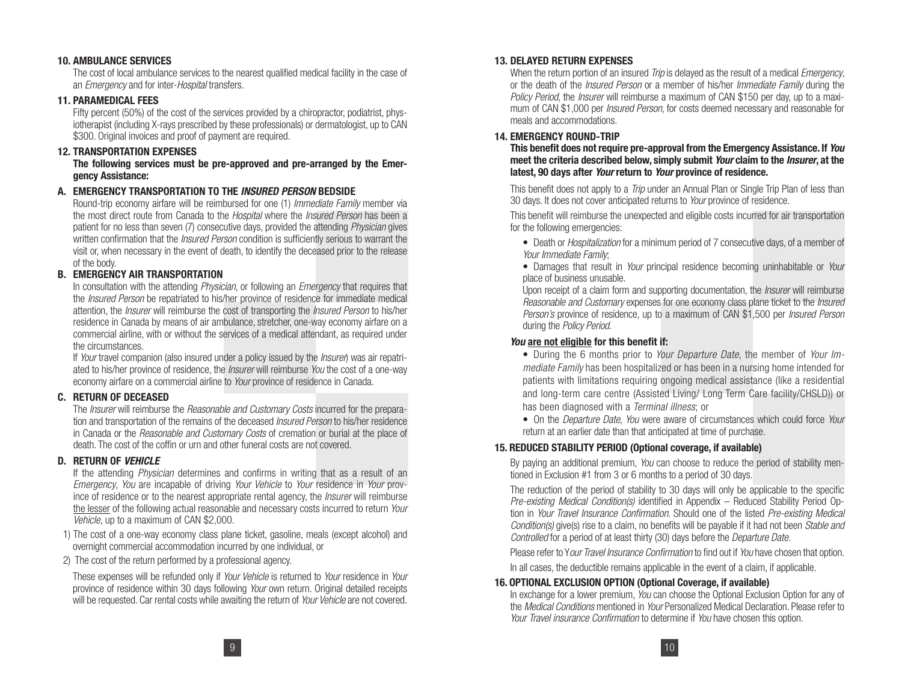#### **10. AMBULANCE SERVICES**

 The cost of local ambulance services to the nearest qualified medical facility in the case of an *Emergency* and for inter-Hospital transfers.

#### **11. PARAMEDICAL FEES**

 Fifty percent (50%) of the cost of the services provided by a chiropractor, podiatrist, physiotherapist (including X-rays prescribed by these professionals) or dermatologist, up to CAN \$300. Original invoices and proof of payment are required.

#### **12. TRANSPORTATION EXPENSES**

**The following services must be pre-approved and pre-arranged by the Emergency Assistance:**

#### **A. EMERGENCY TRANSPORTATION TO THE** *INSURED PERSON* **BEDSIDE**

 Round-trip economy airfare will be reimbursed for one (1) Immediate Family member via the most direct route from Canada to the Hospital where the Insured Person has been a patient for no less than seven (7) consecutive days, provided the attending *Physician* gives written confirmation that the *Insured Person* condition is sufficiently serious to warrant the visit or, when necessary in the event of death, to identify the deceased prior to the release of the body.

## **B. EMERGENCY AIR TRANSPORTATION**

In consultation with the attending Physician, or following an Emergency that requires that the Insured Person be repatriated to his/her province of residence for immediate medical attention, the Insurer will reimburse the cost of transporting the Insured Person to his/her residence in Canada by means of air ambulance, stretcher, one-way economy airfare on a commercial airline, with or without the services of a medical attendant, as required under the circumstances.

If Your travel companion (also insured under a policy issued by the *Insurer*) was air repatriated to his/her province of residence, the *Insurer* will reimburse You the cost of a one-way economy airfare on a commercial airline to Your province of residence in Canada.

#### **C. RETURN OF DECEASED**

The *Insurer* will reimburse the *Reasonable and Customary Costs* incurred for the preparation and transportation of the remains of the deceased Insured Person to his/her residence in Canada or the Reasonable and Customary Costs of cremation or burial at the place of death. The cost of the coffin or urn and other funeral costs are not covered.

## **D. RETURN OF** *VEHICLE*

 If the attending Physician determines and confirms in writing that as a result of an Emergency, You are incapable of driving Your Vehicle to Your residence in Your province of residence or to the nearest appropriate rental agency, the *Insurer* will reimburse the lesser of the following actual reasonable and necessary costs incurred to return Your Vehicle, up to a maximum of CAN \$2,000.

1) The cost of a one-way economy class plane ticket, gasoline, meals (except alcohol) and overnight commercial accommodation incurred by one individual, or

2) The cost of the return performed by a professional agency.

 These expenses will be refunded only if Your Vehicle is returned to Your residence in Your province of residence within 30 days following Your own return. Original detailed receipts will be requested. Car rental costs while awaiting the return of Your Vehicle are not covered.

## **13. DELAYED RETURN EXPENSES**

When the return portion of an insured *Trip* is delayed as the result of a medical *Emergency*, or the death of the Insured Person or a member of his/her Immediate Family during the Policy Period, the *Insurer* will reimburse a maximum of CAN \$150 per day, up to a maximum of CAN \$1,000 per *Insured Person*, for costs deemed necessary and reasonable for meals and accommodations.

#### **14. EMERGENCY ROUND-TRIP**

**This benefit does not require pre-approval from the Emergency Assistance. If** *You* **meet the criteria described below, simply submit** *Your* **claim to the** *Insurer***, at the latest, 90 days after** *Your* **return to** *Your* **province of residence.**

This benefit does not apply to a *Trip* under an Annual Plan or Single Trip Plan of less than 30 days. It does not cover anticipated returns to Your province of residence.

 This benefit will reimburse the unexpected and eligible costs incurred for air transportation for the following emergencies:

• Death or *Hospitalization* for a minimum period of 7 consecutive days, of a member of Your Immediate Family;

• Damages that result in *Your* principal residence becoming uninhabitable or *Your* place of business unusable.

Upon receipt of a claim form and supporting documentation, the *Insurer* will reimburse Reasonable and Customary expenses for one economy class plane ticket to the *Insured* Person's province of residence, up to a maximum of CAN \$1,500 per *Insured Person* during the Policy Period.

#### *You* **are not eligible for this benefit if:**

• During the 6 months prior to Your Departure Date, the member of Your Immediate Family has been hospitalized or has been in a nursing home intended for patients with limitations requiring ongoing medical assistance (like a residential and long-term care centre (Assisted Living/ Long Term Care facility/CHSLD)) or has been diagnosed with a Terminal illness; or

• On the *Departure Date, You* were aware of circumstances which could force Your return at an earlier date than that anticipated at time of purchase.

## **15. REDUCED STABILITY PERIOD (Optional coverage, if available)**

By paying an additional premium, You can choose to reduce the period of stability mentioned in Exclusion #1 from 3 or 6 months to a period of 30 days.

 The reduction of the period of stability to 30 days will only be applicable to the specific Pre-existing Medical Condition(s) identified in Appendix - Reduced Stability Period Option in Your Travel Insurance Confirmation. Should one of the listed Pre-existing Medical Condition(s) give(s) rise to a claim, no benefits will be payable if it had not been Stable and Controlled for a period of at least thirty (30) days before the Departure Date.

Please refer to Your Travel Insurance Confirmation to find out if You have chosen that option.

In all cases, the deductible remains applicable in the event of a claim, if applicable.

#### **16. OPTIONAL EXCLUSION OPTION (Optional Coverage, if available)**

In exchange for a lower premium, You can choose the Optional Exclusion Option for any of the *Medical Conditions* mentioned in *Your* Personalized Medical Declaration. Please refer to Your Travel insurance Confirmation to determine if You have chosen this option.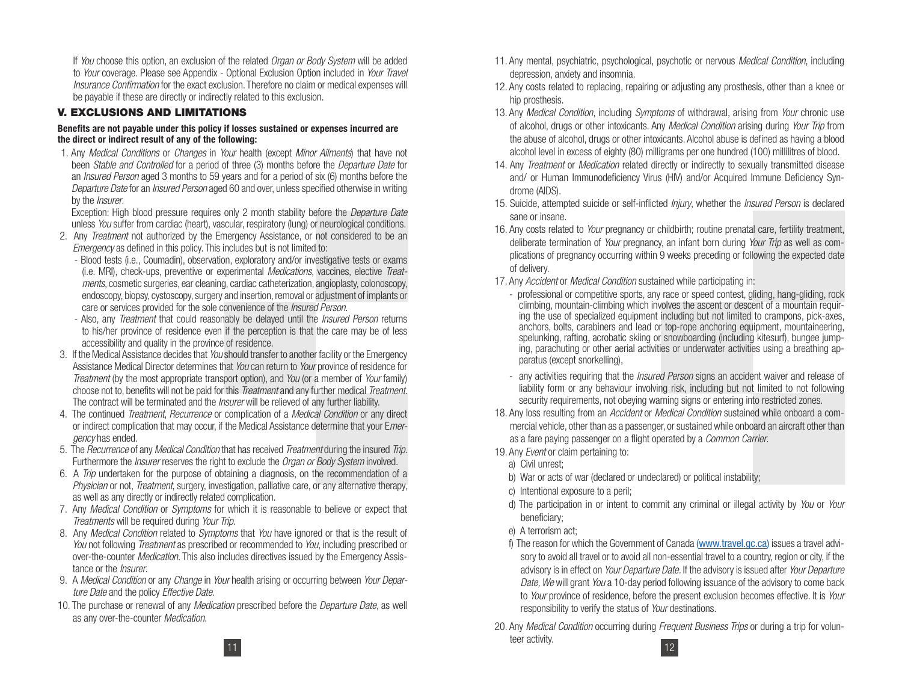If You choose this option, an exclusion of the related *Organ or Body System* will be added to Your coverage. Please see Appendix - Optional Exclusion Option included in Your Travel Insurance Confirmation for the exact exclusion. Therefore no claim or medical expenses will be payable if these are directly or indirectly related to this exclusion.

## **V. EXCLUSIONS AND LIMITATIONS**

#### **Benefits are not payable under this policy if losses sustained or expenses incurred are the direct or indirect result of any of the following:**

1. Any Medical Conditions or Changes in Your health (except Minor Ailments) that have not been Stable and Controlled for a period of three (3) months before the Departure Date for an Insured Person aged 3 months to 59 years and for a period of six (6) months before the Departure Date for an *Insured Person* aged 60 and over, unless specified otherwise in writing by the *Insurer*.

Exception: High blood pressure requires only 2 month stability before the *Departure Date* unless You suffer from cardiac (heart), vascular, respiratory (lung) or neurological conditions.

- 2. Any *Treatment* not authorized by the Emergency Assistance, or not considered to be an Emergency as defined in this policy. This includes but is not limited to:
	- Blood tests (i.e., Coumadin), observation, exploratory and/or investigative tests or exams (i.e. MRI), check-ups, preventive or experimental Medications, vaccines, elective Treatments, cosmetic surgeries, ear cleaning, cardiac catheterization, angioplasty, colonoscopy, endoscopy, biopsy, cystoscopy, surgery and insertion, removal or adjustment of implants or care or services provided for the sole convenience of the Insured Person.
	- Also, any *Treatment* that could reasonably be delayed until the *Insured Person* returns to his/her province of residence even if the perception is that the care may be of less accessibility and quality in the province of residence.
- 3. If the Medical Assistance decides that You should transfer to another facility or the Emergency Assistance Medical Director determines that You can return to Your province of residence for Treatment (by the most appropriate transport option), and You (or a member of Your family) choose not to, benefits will not be paid for this *Treatment* and any further medical *Treatment*. The contract will be terminated and the Insurer will be relieved of any further liability.
- 4. The continued *Treatment, Recurrence* or complication of a *Medical Condition* or any direct or indirect complication that may occur, if the Medical Assistance determine that your Emergency has ended.
- 5. The Recurrence of any Medical Condition that has received Treatment during the insured Trip. Furthermore the *Insurer* reserves the right to exclude the *Organ or Body System* involved.
- 6. A Trip undertaken for the purpose of obtaining a diagnosis, on the recommendation of a Physician or not, Treatment, surgery, investigation, palliative care, or any alternative therapy, as well as any directly or indirectly related complication.
- 7. Any Medical Condition or Symptoms for which it is reasonable to believe or expect that Treatments will be required during Your Trip.
- 8. Any Medical Condition related to Symptoms that You have ignored or that is the result of You not following *Treatment* as prescribed or recommended to You, including prescribed or over-the-counter Medication. This also includes directives issued by the Emergency Assistance or the Insurer.
- 9. A Medical Condition or any Change in Your health arising or occurring between Your Departure Date and the policy Effective Date.
- 10. The purchase or renewal of any *Medication* prescribed before the *Departure Date*, as well as any over-the-counter Medication.
- 11. Any mental, psychiatric, psychological, psychotic or nervous Medical Condition, including depression, anxiety and insomnia.
- 12. Any costs related to replacing, repairing or adjusting any prosthesis, other than a knee or hip prosthesis.
- 13. Any Medical Condition, including Symptoms of withdrawal, arising from Your chronic use of alcohol, drugs or other intoxicants. Any Medical Condition arising during Your Trip from the abuse of alcohol, drugs or other intoxicants. Alcohol abuse is defined as having a blood alcohol level in excess of eighty (80) milligrams per one hundred (100) millilitres of blood.
- 14. Any *Treatment* or *Medication* related directly or indirectly to sexually transmitted disease and/ or Human Immunodeficiency Virus (HIV) and/or Acquired Immune Deficiency Syndrome (AIDS).
- 15. Suicide, attempted suicide or self-inflicted *Injury*, whether the *Insured Person* is declared sane or insane.
- 16. Any costs related to Your pregnancy or childbirth; routine prenatal care, fertility treatment, deliberate termination of Your pregnancy, an infant born during Your Trip as well as complications of pregnancy occurring within 9 weeks preceding or following the expected date of delivery.
- 17. Any Accident or Medical Condition sustained while participating in:
	- professional or competitive sports, any race or speed contest, gliding, hang-gliding, rock climbing, mountain-climbing which involves the ascent or descent of a mountain requiring the use of specialized equipment including but not limited to crampons, pick-axes, anchors, bolts, carabiners and lead or top-rope anchoring equipment, mountaineering, spelunking, rafting, acrobatic skiing or snowboarding (including kitesurf), bungee jumping, parachuting or other aerial activities or underwater activities using a breathing apparatus (except snorkelling),
	- any activities requiring that the *Insured Person* signs an accident waiver and release of liability form or any behaviour involving risk, including but not limited to not following security requirements, not obeying warning signs or entering into restricted zones.
- 18. Any loss resulting from an Accident or Medical Condition sustained while onboard a commercial vehicle, other than as a passenger, or sustained while onboard an aircraft other than as a fare paying passenger on a flight operated by a Common Carrier.
- 19. Any *Event* or claim pertaining to:
	- a) Civil unrest;
	- b) War or acts of war (declared or undeclared) or political instability;
	- c) Intentional exposure to a peril;
	- d) The participation in or intent to commit any criminal or illegal activity by You or Your beneficiary;
	- e) A terrorism act;
	- f) The reason for which the Government of Canada (www.travel.gc.ca) issues a travel advisory to avoid all travel or to avoid all non-essential travel to a country, region or city, if the advisory is in effect on Your Departure Date. If the advisory is issued after Your Departure Date, We will grant You a 10-day period following issuance of the advisory to come back to *Your* province of residence, before the present exclusion becomes effective. It is *Your* responsibility to verify the status of *Your* destinations.
- 1220. Any *Medical Condition* occurring during *Frequent Business Trips* or during a trip for volunteer activity.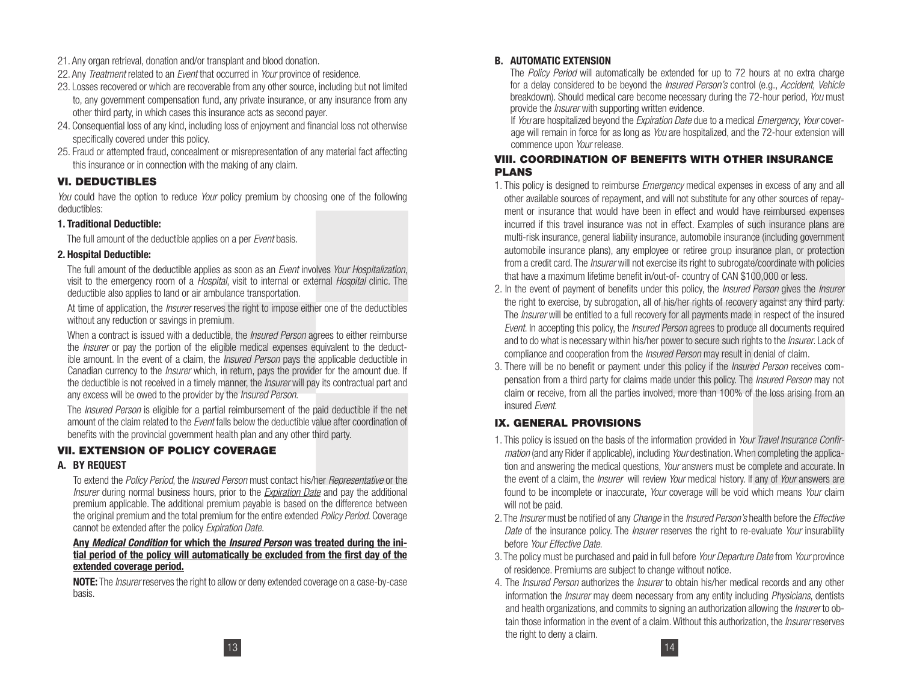- 21. Any organ retrieval, donation and/or transplant and blood donation.
- 22. Any *Treatment* related to an *Event* that occurred in *Your* province of residence.
- 23. Losses recovered or which are recoverable from any other source, including but not limited to, any government compensation fund, any private insurance, or any insurance from any other third party, in which cases this insurance acts as second payer.
- 24. Consequential loss of any kind, including loss of enjoyment and financial loss not otherwise specifically covered under this policy.
- 25. Fraud or attempted fraud, concealment or misrepresentation of any material fact affecting this insurance or in connection with the making of any claim.

# **VI. DEDUCTIBLES**

You could have the option to reduce Your policy premium by choosing one of the following deductibles:

#### **1. Traditional Deductible:**

The full amount of the deductible applies on a per Event basis.

## **2. Hospital Deductible:**

The full amount of the deductible applies as soon as an *Event* involves Your Hospitalization, visit to the emergency room of a Hospital, visit to internal or external Hospital clinic. The deductible also applies to land or air ambulance transportation.

At time of application, the *Insurer* reserves the right to impose either one of the deductibles without any reduction or savings in premium.

When a contract is issued with a deductible, the *Insured Person* agrees to either reimburse the *Insurer* or pay the portion of the eligible medical expenses equivalent to the deductible amount. In the event of a claim, the *Insured Person* pays the applicable deductible in Canadian currency to the *Insurer* which, in return, pays the provider for the amount due. If the deductible is not received in a timely manner, the *Insurer* will pay its contractual part and any excess will be owed to the provider by the *Insured Person*.

The *Insured Person* is eligible for a partial reimbursement of the paid deductible if the net amount of the claim related to the *Event* falls below the deductible value after coordination of benefits with the provincial government health plan and any other third party.

# **VII. EXTENSION OF POLICY COVERAGE**

## **A. BY REQUEST**

 To extend the Policy Period, the Insured Person must contact his/her Representative or the Insurer during normal business hours, prior to the Expiration Date and pay the additional premium applicable. The additional premium payable is based on the difference between the original premium and the total premium for the entire extended *Policy Period*. Coverage cannot be extended after the policy Expiration Date.

#### **Any** *Medical Condition* **for which the** *Insured Person* **was treated during the initial period of the policy will automatically be excluded from the first day of the extended coverage period.**

**NOTE:** The Insurer reserves the right to allow or deny extended coverage on a case-by-case basis.

## **B. AUTOMATIC EXTENSION**

The *Policy Period* will automatically be extended for up to 72 hours at no extra charge for a delay considered to be beyond the Insured Person's control (e.g., Accident, Vehicle breakdown). Should medical care become necessary during the 72-hour period, You must provide the *Insurer* with supporting written evidence.

If You are hospitalized beyond the Expiration Date due to a medical Emergency, Your coverage will remain in force for as long as You are hospitalized, and the 72-hour extension will commence upon Your release.

## **VIII. COORDINATION OF BENEFITS WITH OTHER INSURANCE PLANS**

- 1. This policy is designed to reimburse *Emergency* medical expenses in excess of any and all other available sources of repayment, and will not substitute for any other sources of repayment or insurance that would have been in effect and would have reimbursed expenses incurred if this travel insurance was not in effect. Examples of such insurance plans are multi-risk insurance, general liability insurance, automobile insurance (including government automobile insurance plans), any employee or retiree group insurance plan, or protection from a credit card. The Insurer will not exercise its right to subrogate/coordinate with policies that have a maximum lifetime benefit in/out-of- country of CAN \$100,000 or less.
- 2. In the event of payment of benefits under this policy, the *Insured Person* gives the *Insurer* the right to exercise, by subrogation, all of his/her rights of recovery against any third party. The *Insurer* will be entitled to a full recovery for all payments made in respect of the insured Event. In accepting this policy, the *Insured Person* agrees to produce all documents required and to do what is necessary within his/her power to secure such rights to the *Insurer*. Lack of compliance and cooperation from the *Insured Person* may result in denial of claim.
- 3. There will be no benefit or payment under this policy if the *Insured Person* receives compensation from a third party for claims made under this policy. The *Insured Person* may not claim or receive, from all the parties involved, more than 100% of the loss arising from an insured Event.

# **IX. GENERAL PROVISIONS**

- 1. This policy is issued on the basis of the information provided in Your Travel Insurance Confirmation (and any Rider if applicable), including Your destination. When completing the application and answering the medical questions, *Your* answers must be complete and accurate. In the event of a claim, the *Insurer* will review Your medical history. If any of Your answers are found to be incomplete or inaccurate, *Your* coverage will be void which means *Your* claim will not be paid.
- 2. The *Insurer* must be notified of any *Change* in the *Insured Person's* health before the *Effective* Date of the insurance policy. The *Insurer* reserves the right to re-evaluate Your insurability before Your Effective Date.
- 3. The policy must be purchased and paid in full before Your Departure Date from Your province of residence. Premiums are subject to change without notice.
- 4. The *Insured Person* authorizes the *Insurer* to obtain his/her medical records and any other information the *Insurer* may deem necessary from any entity including *Physicians*, dentists and health organizations, and commits to signing an authorization allowing the *Insurer* to obtain those information in the event of a claim. Without this authorization, the *Insurer* reserves the right to deny a claim.

13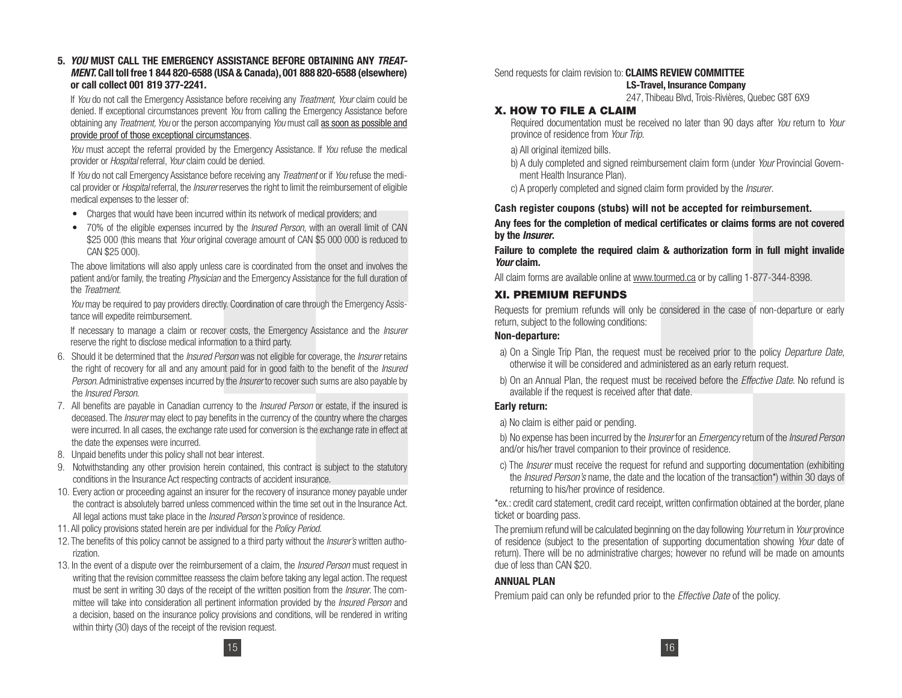**5.** *YOU* **MUST CALL THE EMERGENCY ASSISTANCE BEFORE OBTAINING ANY** *TREAT-MENT.* **Call toll free 1 844 820-6588 (USA & Canada), 001 888 820-6588 (elsewhere) or call collect 001 819 377-2241.**

If You do not call the Emergency Assistance before receiving any Treatment, Your claim could be denied. If exceptional circumstances prevent You from calling the Emergency Assistance before obtaining any Treatment, You or the person accompanying You must call as soon as possible and provide proof of those exceptional circumstances.

You must accept the referral provided by the Emergency Assistance. If You refuse the medical provider or *Hospital* referral, *Your* claim could be denied.

If You do not call Emergency Assistance before receiving any Treatment or if You refuse the medical provider or Hospital referral, the Insurer reserves the right to limit the reimbursement of eligible medical expenses to the lesser of:

- Charges that would have been incurred within its network of medical providers; and
- 70% of the eligible expenses incurred by the *Insured Person*, with an overall limit of CAN \$25 000 (this means that Your original coverage amount of CAN \$5 000 000 is reduced to CAN \$25 000).

The above limitations will also apply unless care is coordinated from the onset and involves the patient and/or family, the treating Physician and the Emergency Assistance for the full duration of the Treatment.

You may be required to pay providers directly. Coordination of care through the Emergency Assistance will expedite reimbursement.

If necessary to manage a claim or recover costs, the Emergency Assistance and the *Insurer* reserve the right to disclose medical information to a third party.

- 6. Should it be determined that the *Insured Person* was not eligible for coverage, the *Insurer* retains the right of recovery for all and any amount paid for in good faith to the benefit of the *Insured* Person. Administrative expenses incurred by the *Insurer* to recover such sums are also payable by the Insured Person.
- 7. All benefits are payable in Canadian currency to the *Insured Person* or estate, if the insured is deceased. The *Insurer* may elect to pay benefits in the currency of the country where the charges were incurred. In all cases, the exchange rate used for conversion is the exchange rate in effect at the date the expenses were incurred.
- 8. Unpaid benefits under this policy shall not bear interest.
- 9. Notwithstanding any other provision herein contained, this contract is subject to the statutory conditions in the Insurance Act respecting contracts of accident insurance.
- 10. Every action or proceeding against an insurer for the recovery of insurance money payable under the contract is absolutely barred unless commenced within the time set out in the Insurance Act. All legal actions must take place in the *Insured Person's* province of residence.
- 11. All policy provisions stated herein are per individual for the Policy Period.
- 12. The benefits of this policy cannot be assigned to a third party without the *Insurer's* written authorization.
- 13. In the event of a dispute over the reimbursement of a claim, the *Insured Person* must request in writing that the revision committee reassess the claim before taking any legal action. The request must be sent in writing 30 days of the receipt of the written position from the *Insurer*. The committee will take into consideration all pertinent information provided by the *Insured Person* and a decision, based on the insurance policy provisions and conditions, will be rendered in writing within thirty (30) days of the receipt of the revision request.

#### Send requests for claim revision to: **CLAIMS REVIEW COMMITTEE**

**LS-Travel, Insurance Company**

247, Thibeau Blvd, Trois-Rivières, Quebec G8T 6X9

#### **X. HOW TO FILE A CLAIM**

Required documentation must be received no later than 90 days after You return to Your province of residence from Your Trip.

- a) All original itemized bills.
- b) A duly completed and signed reimbursement claim form (under Your Provincial Government Health Insurance Plan).
- c) A properly completed and signed claim form provided by the *Insurer*.

#### **Cash register coupons (stubs) will not be accepted for reimbursement.**

**Any fees for the completion of medical certificates or claims forms are not covered by the** *Insurer***.**

**Failure to complete the required claim & authorization form in full might invalide**  *Your* **claim.**

All claim forms are available online at www.tourmed.ca or by calling 1-877-344-8398.

#### **XI. PREMIUM REFUNDS**

Requests for premium refunds will only be considered in the case of non-departure or early return, subject to the following conditions:

#### **Non-departure:**

- a) On a Single Trip Plan, the request must be received prior to the policy Departure Date, otherwise it will be considered and administered as an early return request.
- b) On an Annual Plan, the request must be received before the *Effective Date*. No refund is available if the request is received after that date.

#### **Early return:**

a) No claim is either paid or pending.

b) No expense has been incurred by the *Insurer* for an *Emergency* return of the *Insured Person* and/or his/her travel companion to their province of residence.

c) The *Insurer* must receive the request for refund and supporting documentation (exhibiting the Insured Person's name, the date and the location of the transaction\*) within 30 days of returning to his/her province of residence.

\*ex.: credit card statement, credit card receipt, written confirmation obtained at the border, plane ticket or boarding pass.

The premium refund will be calculated beginning on the day following Your return in Your province of residence (subject to the presentation of supporting documentation showing Your date of return). There will be no administrative charges; however no refund will be made on amounts due of less than CAN \$20.

## **ANNUAL PLAN**

Premium paid can only be refunded prior to the *Effective Date* of the policy.

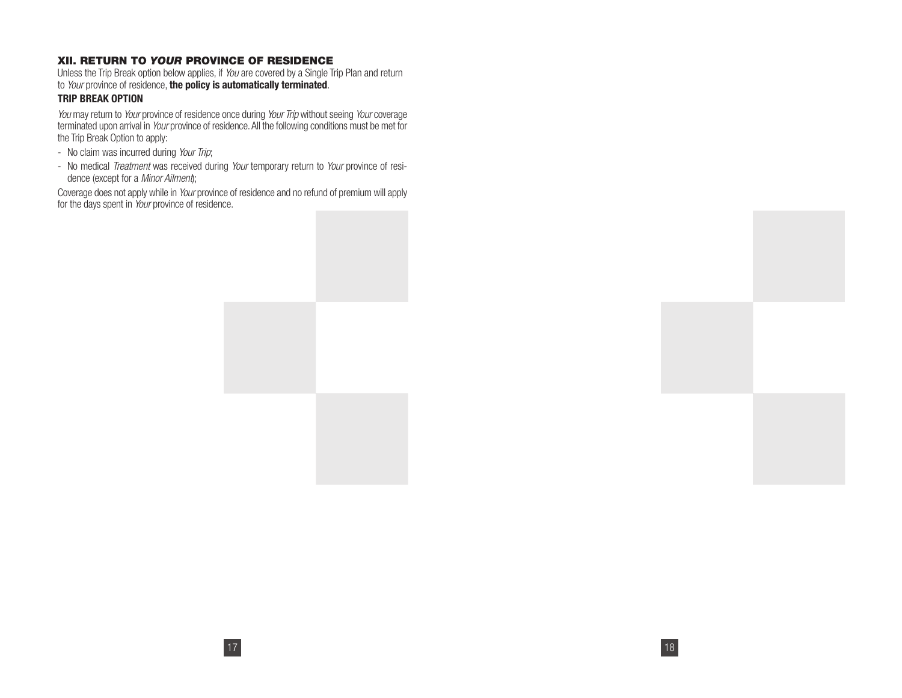## **XII. RETURN TO** *YOUR* **PROVINCE OF RESIDENCE**

Unless the Trip Break option below applies, if You are covered by a Single Trip Plan and return to Your province of residence, **the policy is automatically terminated**.

#### **TRIP BREAK OPTION**

You may return to Your province of residence once during Your Trip without seeing Your coverage terminated upon arrival in Your province of residence. All the following conditions must be met for the Trip Break Option to apply:

- No claim was incurred during Your Trip;
- No medical Treatment was received during Your temporary return to Your province of residence (except for a Minor Ailment);

Coverage does not apply while in Your province of residence and no refund of premium will apply for the days spent in Your province of residence.